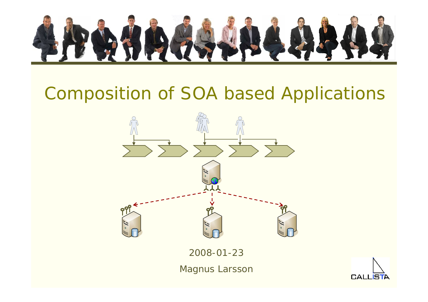

# Composition of SOA based Applications



2008-01-23

Magnus Larsson

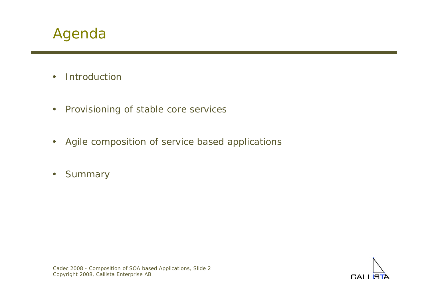

- •Introduction
- •Provisioning of stable core services
- •Agile composition of service based applications
- •**Summary**

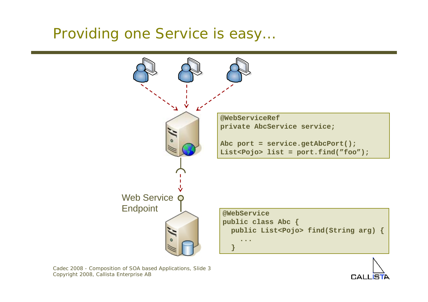### Providing one Service is easy…



Cadec 2008 - Composition of SOA based Applications, Slide 3 Copyright 2008, Callista Enterprise AB

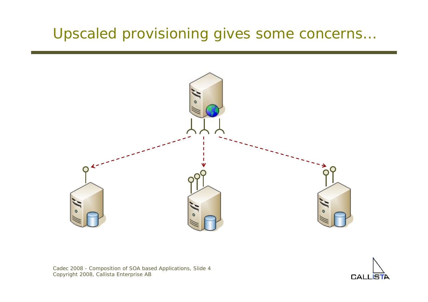

Cadec 2008 - Composition of SOA based Applications, Slide 4 Copyright 2008, Callista Enterprise AB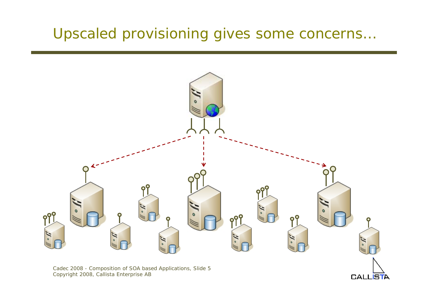

**CALLIS** 

Cadec 2008 - Composition of SOA based Applications, Slide 5 Copyright 2008, Callista Enterprise AB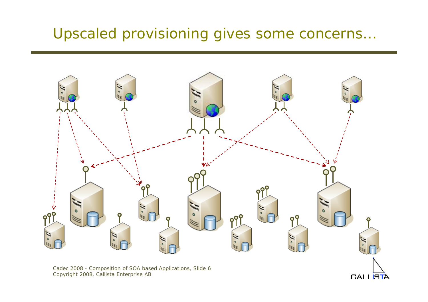

**CALLISTA** 

Cadec 2008 - Composition of SOA based Applications, Slide 6 Copyright 2008, Callista Enterprise AB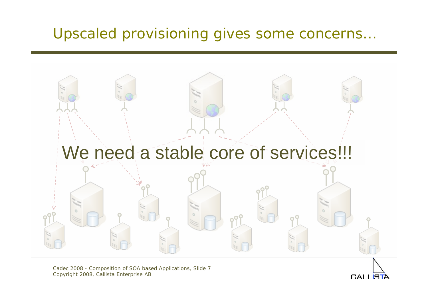

Cadec 2008 - Composition of SOA based Applications, Slide 7 Copyright 2008, Callista Enterprise AB

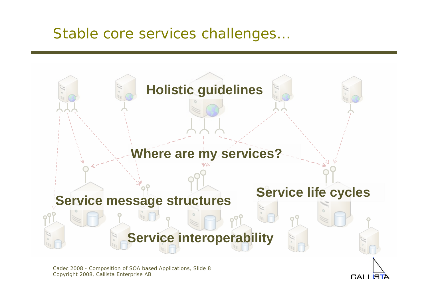### Stable core services challenges…



Cadec 2008 - Composition of SOA based Applications, Slide 8 Copyright 2008, Callista Enterprise AB

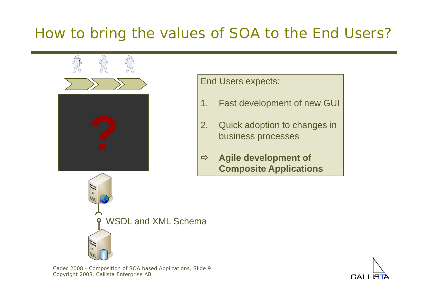### How to bring the values of SOA to the End Users?



End Users expects:

- 1.Fast development of new GUI
- 2. Quick adoption to changes in business processes
- $\Rightarrow$  **Agile development of Composite Applications**

WSDL and XML Schema

Cadec 2008 - Composition of SOA based Applications, Slide 9 Copyright 2008, Callista Enterprise AB

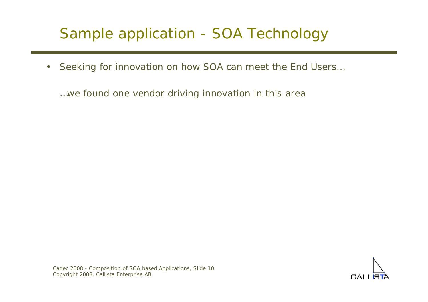### Sample application - SOA Technology

 $\bullet$ Seeking for innovation on how SOA can meet the End Users…

…we found one vendor driving innovation in this area

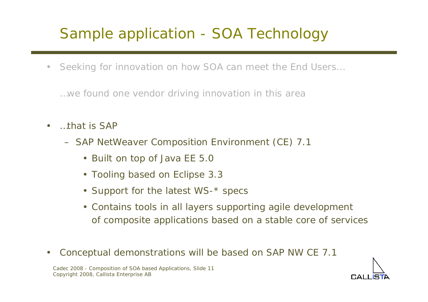### Sample application - SOA Technology

 $\bullet$ Seeking for innovation on how SOA can meet the End Users…

…we found one vendor driving innovation in this area

- $\bullet$  …that is SAP
	- SAP NetWeaver Composition Environment (CE) 7.1
		- Built on top of Java EE 5.0
		- Tooling based on Eclipse 3.3
		- Support for the latest WS-\* specs
		- Contains tools in all layers supporting agile development of composite applications based on a stable core of services
- $\bullet$ Conceptual demonstrations will be based on SAP NW CE 7.1



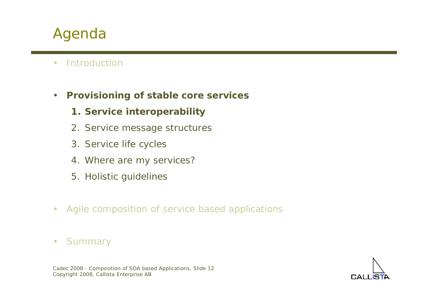### Agenda

- $\bullet$ Introduction
- $\bullet$  **Provisioning of stable core services**
	- **1. Service interoperability**
	- 2. Service message structures
	- 3. Service life cycles
	- 4. Where are my services?
	- 5. Holistic guidelines
- $\bullet$ Agile composition of service based applications
- $\bullet$ **Summary**

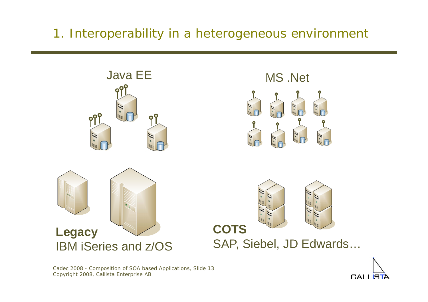### 1. Interoperability in a heterogeneous environment



Cadec 2008 - Composition of SOA based Applications, Slide 13 Copyright 2008, Callista Enterprise AB

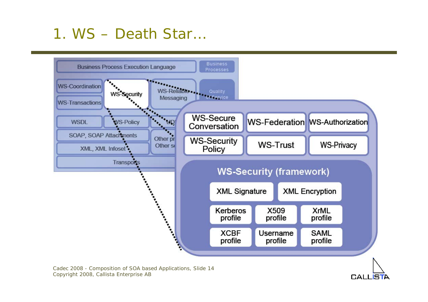### 1. WS – Death Star…



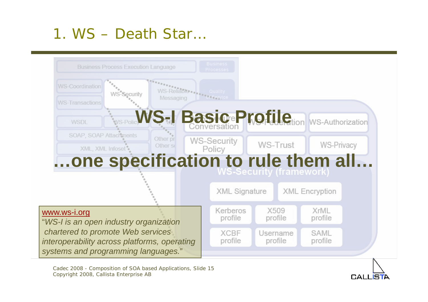### 1. WS – Death Star…



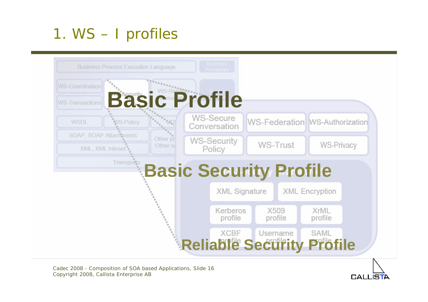### 1. WS – I profiles



Cadec 2008 - Composition of SOA based Applications, Slide 16 Copyright 2008, Callista Enterprise AB

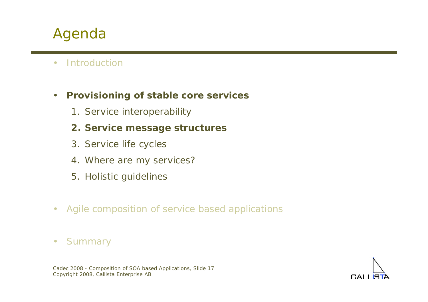### Agenda

- $\bullet$ Introduction
- $\bullet$  **Provisioning of stable core services**
	- 1. Service interoperability
	- **2. Service message structures**
	- 3. Service life cycles
	- 4. Where are my services?
	- 5. Holistic guidelines
- $\bullet$ Agile composition of service based applications
- $\bullet$ **Summary**

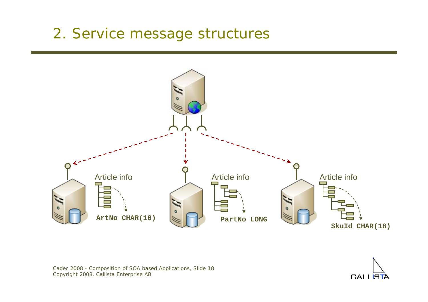### 2. Service message structures



Cadec 2008 - Composition of SOA based Applications, Slide 18 Copyright 2008, Callista Enterprise AB

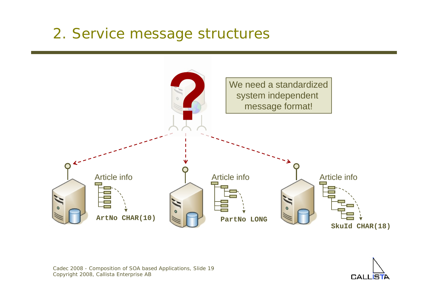### 2. Service message structures



$$
\bigcap_{\text{GALL} \text{STA}}
$$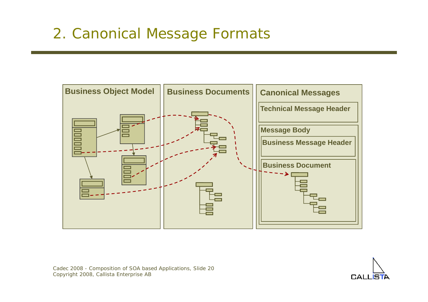### 2. Canonical Message Formats



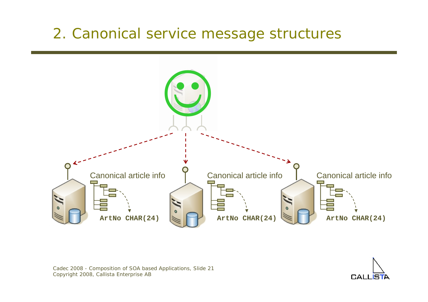### 2. Canonical service message structures



Cadec 2008 - Composition of SOA based Applications, Slide 21 Copyright 2008, Callista Enterprise AB

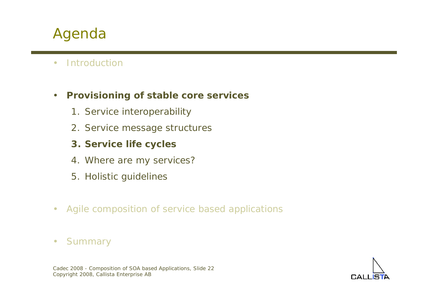### Agenda

 $\bullet$ Introduction

#### $\bullet$ **Provisioning of stable core services**

- 1. Service interoperability
- 2. Service message structures
- **3. Service life cycles**
- 4. Where are my services?
- 5. Holistic guidelines
- $\bullet$ Agile composition of service based applications
- $\bullet$ **Summary**

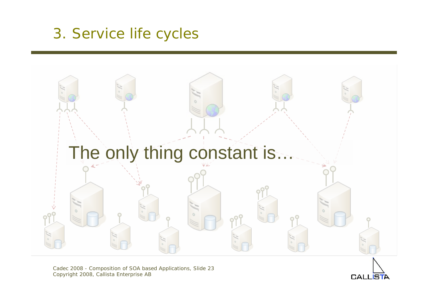### 3. Service life cycles



Cadec 2008 - Composition of SOA based Applications, Slide 23 Copyright 2008, Callista Enterprise AB

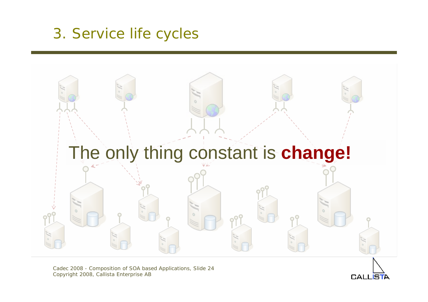### 3. Service life cycles



Cadec 2008 - Composition of SOA based Applications, Slide 24 Copyright 2008, Callista Enterprise AB

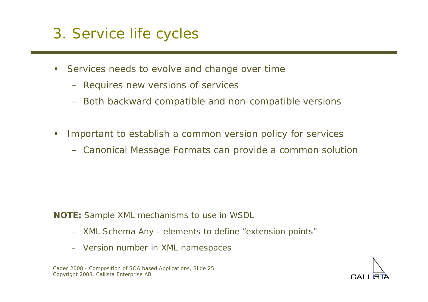### 3. Service life cycles

- • Services needs to evolve and change over time
	- Requires new versions of services
	- Both backward compatible and non-compatible versions
- $\bullet$  Important to establish a common version policy for services
	- Canonical Message Formats can provide a common solution

- **NOTE:** Sample XML mechanisms to use in WSDL
	- XML Schema Any elements to define "extension points"
	- Version number in XML namespaces

Cadec 2008 - Composition of SOA based Applications, Slide 25 Copyright 2008, Callista Enterprise AB

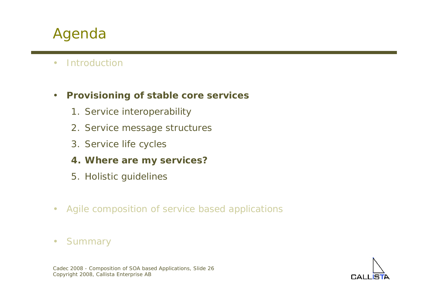### Agenda

 $\bullet$ Introduction

#### $\bullet$ **Provisioning of stable core services**

- 1. Service interoperability
- 2. Service message structures
- 3. Service life cycles
- **4. Where are my services?**
- 5. Holistic guidelines
- $\bullet$ Agile composition of service based applications
- $\bullet$ **Summary**



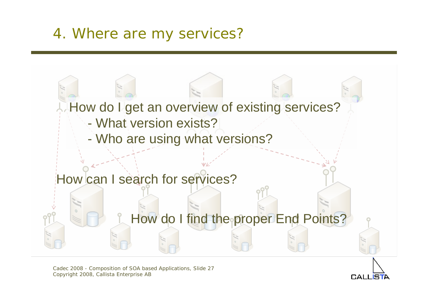### 4. Where are my services?



Cadec 2008 - Composition of SOA based Applications, Slide 27 Copyright 2008, Callista Enterprise AB

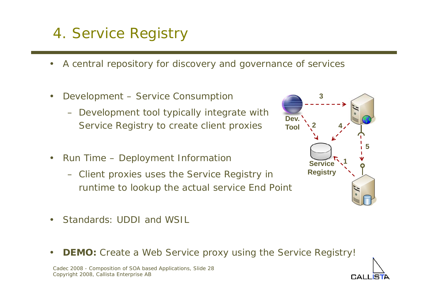## 4. Service Registry

- •A central repository for discovery and governance of services
- • Development – Service Consumption
	- Development tool typically integrate with Service Registry to create client proxies
- • Run Time – Deployment Information
	- Client proxies uses the Service Registry in runtime to lookup the actual service End Point
- •Standards: UDDI and WSIL
- •**DEMO:** Create a Web Service proxy using the Service Registry!

Cadec 2008 - Composition of SOA based Applications, Slide 28 Copyright 2008, Callista Enterprise AB



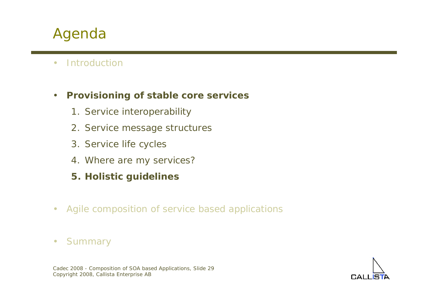### Agenda

 $\bullet$ Introduction

#### $\bullet$ **Provisioning of stable core services**

- 1. Service interoperability
- 2. Service message structures
- 3. Service life cycles
- 4. Where are my services?
- **5. Holistic guidelines**
- $\bullet$ Agile composition of service based applications
- $\bullet$ **Summary**



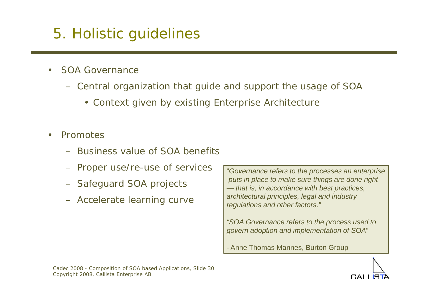### 5. Holistic guidelines

- • SOA Governance
	- Central organization that guide and support the usage of SOA
		- Context given by existing Enterprise Architecture
- • Promotes
	- Business value of SOA benefits
	- Proper use/re-use of services
	- Safeguard SOA projects
	- Accelerate learning curve

"*Governance refers to the processes an enterprise puts in place to make sure things are done right — that is, in accordance with best practices, architectural principles, legal and industry regulations and other factors."*

*"SOA Governance refers to the process used to govern adoption and implementation of SOA*"

- Anne Thomas Mannes, Burton Group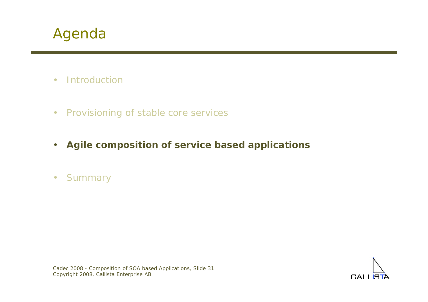

- •**Introduction**
- $\bullet$ Provisioning of stable core services
- •**Agile composition of service based applications**
- •**Summary**



Cadec 2008 - Composition of SOA based Applications, Slide 31 Copyright 2008, Callista Enterprise AB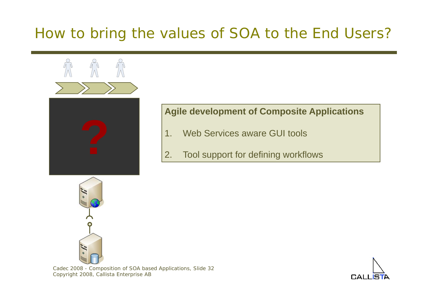### How to bring the values of SOA to the End Users?



### **Agile development of Composite Applications**

- 1.Web Services aware GUI tools
- Tool support for defining workflows



Cadec 2008 - Composition of SOA based Applications, Slide 32 Copyright 2008, Callista Enterprise AB

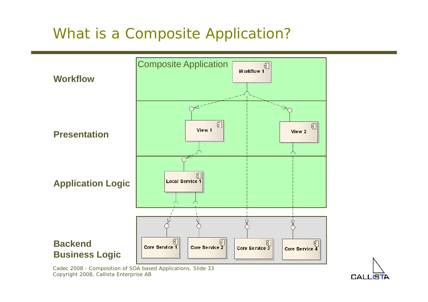### What is a Composite Application?



Cadec 2008 - Composition of SOA based Applications, Slide 33 Copyright 2008, Callista Enterprise AB

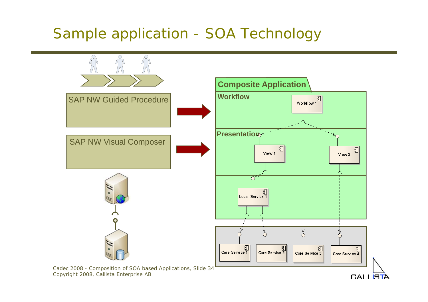### Sample application - SOA Technology



**CALLISTA** 

Copyright 2008, Callista Enterprise AB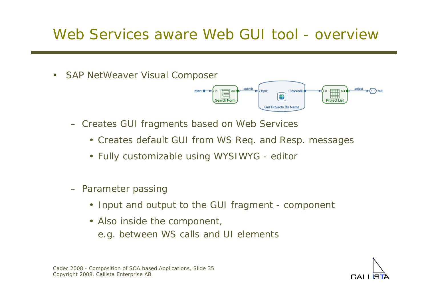### Web Services aware Web GUI tool - overview

 $\bullet$ SAP NetWeaver Visual Composer



• Creates default GUI from WS Req. and Resp. messages

 $\sqrt{\frac{1}{10}}$  out

Search Forn

submit

Response

**Get Projects By Name** 

- Fully customizable using WYSIWYG editor
- Parameter passing
	- Input and output to the GUI fragment component
	- Also inside the component, e.g. between WS calls and UI elements



select

**HELL Project Lis**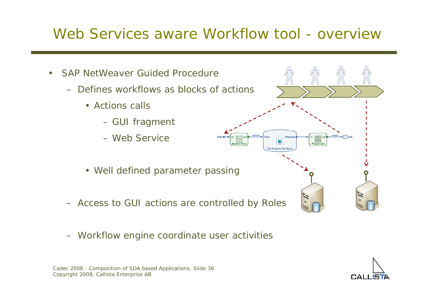### Web Services aware Workflow tool - overview



– Workflow engine coordinate user activities



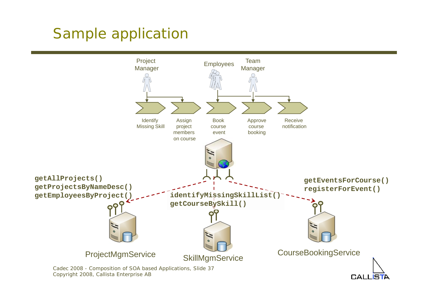### Sample application



**CALLIS** 

Copyright 2008, Callista Enterprise AB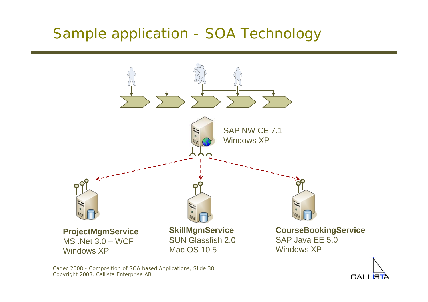### Sample application - SOA Technology



CALL

Cadec 2008 - Composition of SOA based Applications, Slide 38 Copyright 2008, Callista Enterprise AB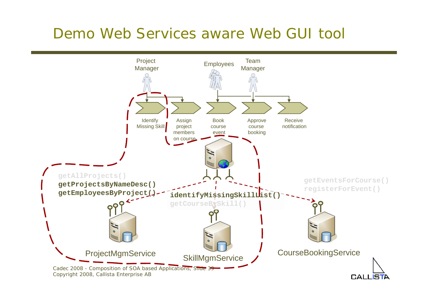### Demo Web Services aware Web GUI tool

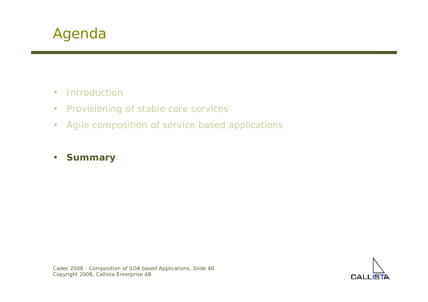- $\bullet$ **Introduction**
- $\bullet$ Provisioning of stable core services
- •Agile composition of service based applications
- $\bullet$ **Summary**

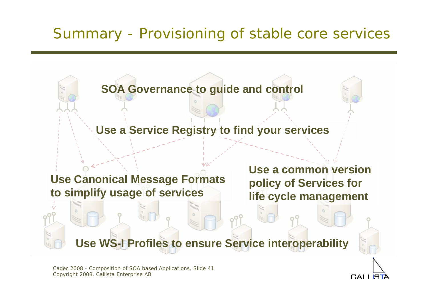

CALL IS

Cadec 2008 - Composition of SOA based Applications, Slide 41 Copyright 2008, Callista Enterprise AB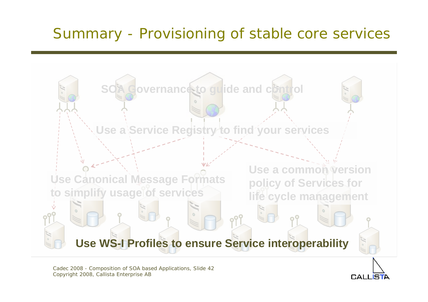

CALLIS

Cadec 2008 - Composition of SOA based Applications, Slide 42 Copyright 2008, Callista Enterprise AB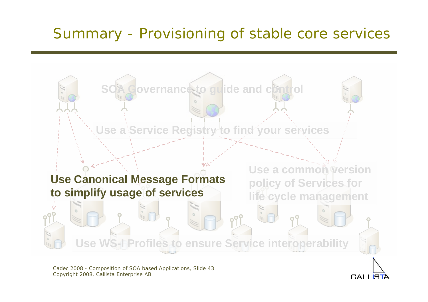

Cadec 2008 - Composition of SOA based Applications, Slide 43 Copyright 2008, Callista Enterprise AB

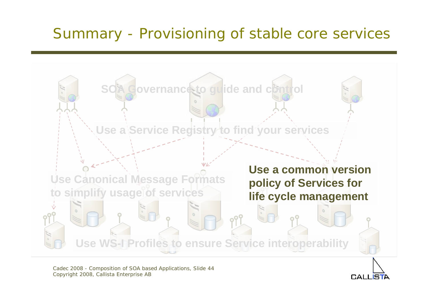

Cadec 2008 - Composition of SOA based Applications, Slide 44 Copyright 2008, Callista Enterprise AB

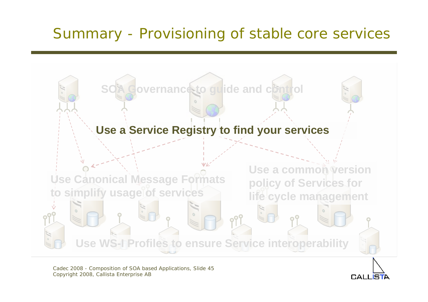

Cadec 2008 - Composition of SOA based Applications, Slide 45 Copyright 2008, Callista Enterprise AB

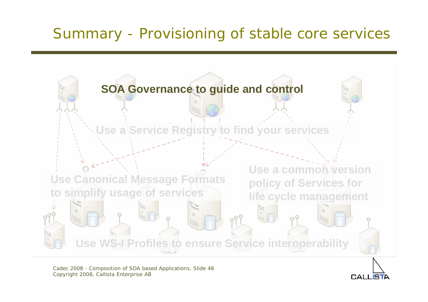

Cadec 2008 - Composition of SOA based Applications, Slide 46 Copyright 2008, Callista Enterprise AB

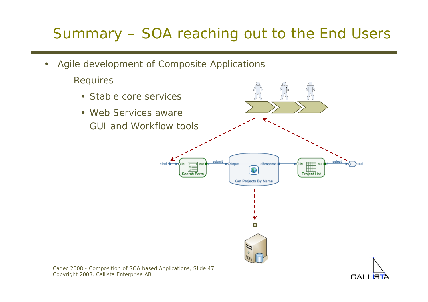### Summary – SOA reaching out to the End Users

- • Agile development of Composite Applications
	- Requires



**CALI** 

Cadec 2008 - Composition of SOA based Applications, Slide 47 Copyright 2008, Callista Enterprise AB